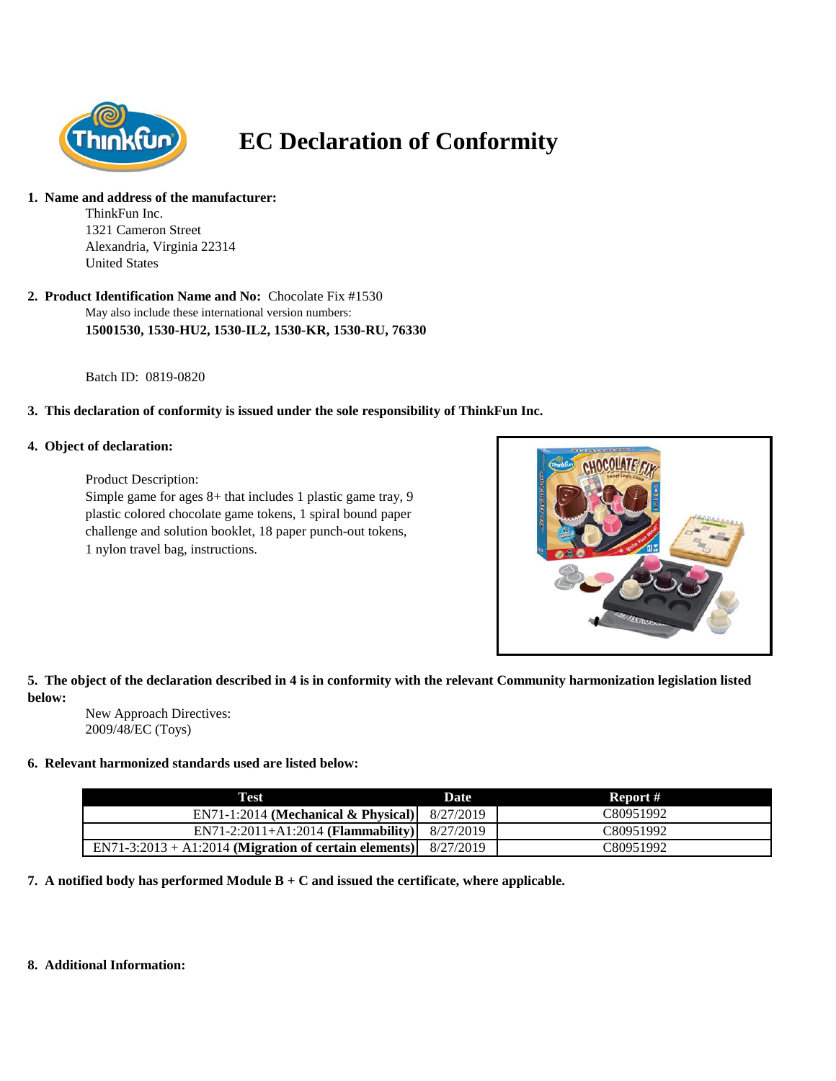

# **EC Declaration of Conformity**

#### **1. Name and address of the manufacturer:**

ThinkFun Inc. 1321 Cameron Street Alexandria, Virginia 22314 United States

May also include these international version numbers: **15001530, 1530-HU2, 1530-IL2, 1530-KR, 1530-RU, 76330 2. Product Identification Name and No:** Chocolate Fix #1530

Batch ID: 0819-0820

## **3. This declaration of conformity is issued under the sole responsibility of ThinkFun Inc.**

## **4. Object of declaration:**

Product Description:

Simple game for ages 8+ that includes 1 plastic game tray, 9 plastic colored chocolate game tokens, 1 spiral bound paper challenge and solution booklet, 18 paper punch-out tokens, 1 nylon travel bag, instructions.



**5. The object of the declaration described in 4 is in conformity with the relevant Community harmonization legislation listed below:**

New Approach Directives: 2009/48/EC (Toys)

## **6. Relevant harmonized standards used are listed below:**

| Test                                                    | Date      | Report #  |
|---------------------------------------------------------|-----------|-----------|
| $EN71-1:2014$ (Mechanical & Physical)                   | 8/27/2019 | C80951992 |
| $EN71-2:2011+A1:2014$ (Flammability)                    | 8/27/2019 | C80951992 |
| $EN71-3:2013 + A1:2014$ (Migration of certain elements) | 8/27/2019 | C80951992 |

**7. A notified body has performed Module B + C and issued the certificate, where applicable.**

#### **8. Additional Information:**